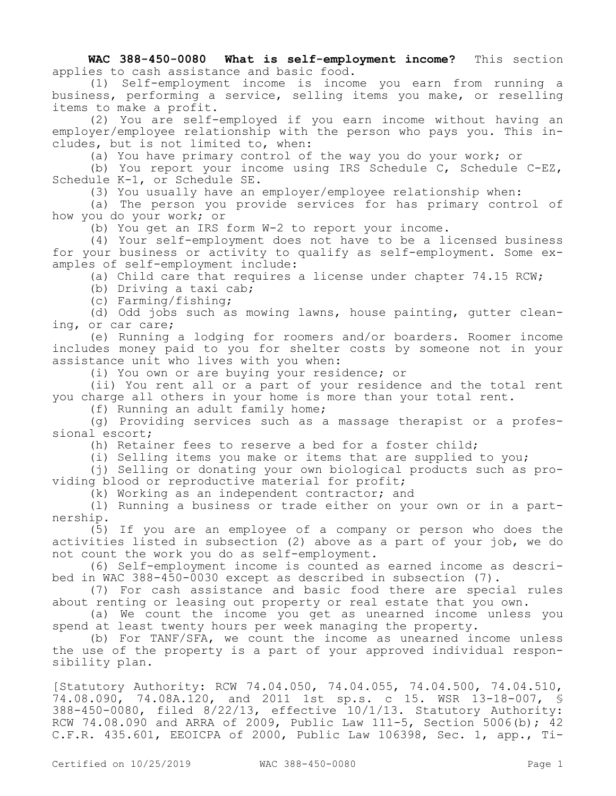**WAC 388-450-0080 What is self-employment income?** This section applies to cash assistance and basic food.

(1) Self-employment income is income you earn from running a business, performing a service, selling items you make, or reselling items to make a profit.

(2) You are self-employed if you earn income without having an employer/employee relationship with the person who pays you. This includes, but is not limited to, when:

(a) You have primary control of the way you do your work; or

(b) You report your income using IRS Schedule C, Schedule C-EZ, Schedule K-1, or Schedule SE.

(3) You usually have an employer/employee relationship when:

(a) The person you provide services for has primary control of how you do your work; or

(b) You get an IRS form W-2 to report your income.

(4) Your self-employment does not have to be a licensed business for your business or activity to qualify as self-employment. Some examples of self-employment include:

(a) Child care that requires a license under chapter 74.15 RCW;

(b) Driving a taxi cab;

(c) Farming/fishing;

(d) Odd jobs such as mowing lawns, house painting, gutter cleaning, or car care;

(e) Running a lodging for roomers and/or boarders. Roomer income includes money paid to you for shelter costs by someone not in your assistance unit who lives with you when:

(i) You own or are buying your residence; or

(ii) You rent all or a part of your residence and the total rent you charge all others in your home is more than your total rent.

(f) Running an adult family home;

(g) Providing services such as a massage therapist or a professional escort;

(h) Retainer fees to reserve a bed for a foster child;

(i) Selling items you make or items that are supplied to you;

(j) Selling or donating your own biological products such as providing blood or reproductive material for profit;

(k) Working as an independent contractor; and

(l) Running a business or trade either on your own or in a partnership.

(5) If you are an employee of a company or person who does the activities listed in subsection (2) above as a part of your job, we do not count the work you do as self-employment.

(6) Self-employment income is counted as earned income as described in WAC 388-450-0030 except as described in subsection (7).

(7) For cash assistance and basic food there are special rules about renting or leasing out property or real estate that you own.

(a) We count the income you get as unearned income unless you spend at least twenty hours per week managing the property.

(b) For TANF/SFA, we count the income as unearned income unless the use of the property is a part of your approved individual responsibility plan.

[Statutory Authority: RCW 74.04.050, 74.04.055, 74.04.500, 74.04.510, 74.08.090, 74.08A.120, and 2011 1st sp.s. c 15. WSR 13-18-007, § 388-450-0080, filed 8/22/13, effective 10/1/13. Statutory Authority: RCW 74.08.090 and ARRA of 2009, Public Law 111-5, Section 5006(b); 42 C.F.R. 435.601, EEOICPA of 2000, Public Law 106398, Sec. 1, app., Ti